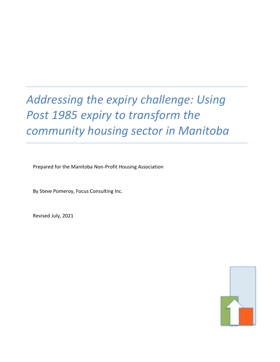# *Addressing the expiry challenge: Using Post 1985 expiry to transform the community housing sector in Manitoba*

Prepared for the Manitoba Non-Profit Housing Association

By Steve Pomeroy, Focus Consulting Inc.

Revised July, 2021

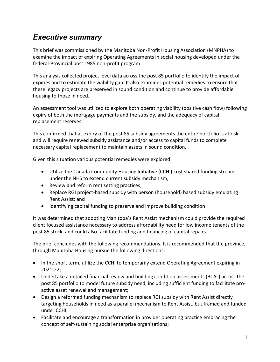# *Executive summary*

This brief was commissioned by the Manitoba Non-Profit Housing Association (MNPHA) to examine the impact of expiring Operating Agreements in social housing developed under the federal-Provincial post 1985 non-profit program

This analysis collected project level data across the post 85 portfolio to identify the impact of expiries and to estimate the viability gap. It also examines potential remedies to ensure that these legacy projects are preserved in sound condition and continue to provide affordable housing to those in need.

An assessment tool was utilized to explore both operating viability (positive cash flow) following expiry of both the mortgage payments and the subsidy, and the adequacy of capital replacement reserves.

This confirmed that at expiry of the post 85 subsidy agreements the entire portfolio is at risk and will require renewed subsidy assistance and/or access to capital funds to complete necessary capital replacement to maintain assets in sound condition.

Given this situation various potential remedies were explored:

- Utilize the Canada Community Housing Initiative (CCHI) cost shared funding stream under the NHS to extend current subsidy mechanism;
- Review and reform rent setting practices;
- Replace RGI project-based subsidy with person (household) based subsidy emulating Rent Assist; and
- Identifying capital funding to preserve and improve building condition

It was determined that adopting Manitoba's Rent Assist mechanism could provide the required client focused assistance necessary to address affordability need for low income tenants of the post 85 stock, and could also facilitate funding and financing of capital repairs.

The brief concludes with the following recommendations. It is recommended that the province, through Manitoba Housing pursue the following directions:

- In the short term, utilize the CCHI to temporarily extend Operating Agreement expiring in 2021-22;
- Undertake a detailed financial review and building condition assessments (BCAs) across the post 85 portfolio to model future subsidy need, including sufficient funding to facilitate proactive asset renewal and management;
- Design a reformed funding mechanism to replace RGI subsidy with Rent Assist directly targeting households in need as a parallel mechanism to Rent Assist, but framed and funded under CCHI;
- Facilitate and encourage a transformation in provider operating practice embracing the concept of self-sustaining social enterprise organizations;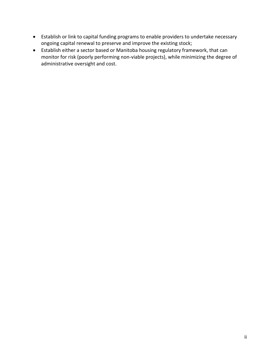- Establish or link to capital funding programs to enable providers to undertake necessary ongoing capital renewal to preserve and improve the existing stock;
- Establish either a sector based or Manitoba housing regulatory framework, that can monitor for risk (poorly performing non-viable projects), while minimizing the degree of administrative oversight and cost.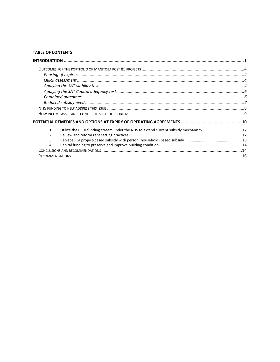#### **TABLE OF CONTENTS**

| $\mathbf{1}$ . | Utilize the CCHI funding stream under the NHS to extend current subsidy mechanism 12 |  |
|----------------|--------------------------------------------------------------------------------------|--|
| $\mathfrak{D}$ |                                                                                      |  |
| 3.             |                                                                                      |  |
| 4.             |                                                                                      |  |
|                |                                                                                      |  |
|                |                                                                                      |  |
|                |                                                                                      |  |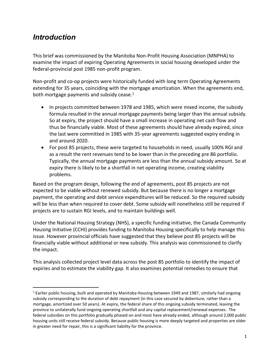# <span id="page-4-0"></span>*Introduction*

This brief was commissioned by the Manitoba Non-Profit Housing Association (MNPHA) to examine the impact of expiring Operating Agreements in social housing developed under the federal-provincial post 1985 non-profit program.

Non-profit and co-op projects were historically funded with long term Operating Agreements extending for 35 years, coinciding with the mortgage amortization. When the agreements end, both mortgage payments and subsidy cease. $1$ 

- In projects committed between 1978 and 1985, which were mixed income, the subsidy formula resulted in the annual mortgage payments being larger than the annual subsidy. So at expiry, the project should have a small increase in operating net cash flow and thus be financially viable. Most of these agreements should have already expired, since the last were committed in 1985 with 35-year agreements suggested expiry ending in and around 2020.
- For post 85 projects, these were targeted to households in need, usually 100% RGI and as a result the rent revenues tend to be lower than in the preceding pre 86 portfolio. Typically, the annual mortgage payments are less than the annual subsidy amount. So at expiry there is likely to be a shortfall in net operating income, creating viability problems.

Based on the program design, following the end of agreements, post 85 projects are not expected to be viable without renewed subsidy. But because there is no longer a mortgage payment, the operating and debt service expenditures will be reduced. So the required subsidy will be less than when required to cover debt. Some subsidy will nonetheless still be required if projects are to sustain RGI levels, and to maintain buildings well.

Under the National Housing Strategy (NHS), a specific funding initiative, the Canada Community Housing Initiative (CCHI) provides funding to Manitoba Housing specifically to help manage this issue. However provincial officials have suggested that they believe post 85 projects will be financially viable without additional or new subsidy. This analysis was commissioned to clarify the impact.

This analysis collected project level data across the post 85 portfolio to identify the impact of expiries and to estimate the viability gap. It also examines potential remedies to ensure that

 $1$  Earlier public housing, built and operated by Manitoba Housing between 1949 and 1987, similarly had ongoing subsidy corresponding to the duration of debt repayment (in this case secured by debenture, rather than a mortgage, amortized over 50 years). At expiry, the federal share of this ongoing subsidy terminated, leaving the province to unilaterally fund ongoing operating shortfall and any capital replacement/renewal expenses. The federal subsidies on this portfolio gradually phased on and most have already ended, although around 2,000 public housing units still receive federal subsidy. Because public housing is more deeply targeted and properties are older in greater need for repair, this is a significant liability for the province.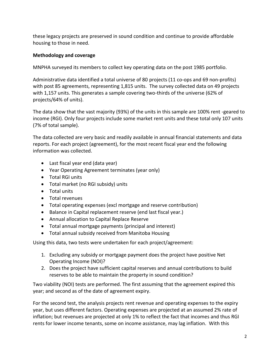these legacy projects are preserved in sound condition and continue to provide affordable housing to those in need.

#### **Methodology and coverage**

MNPHA surveyed its members to collect key operating data on the post 1985 portfolio.

Administrative data identified a total universe of 80 projects (11 co-ops and 69 non-profits) with post 85 agreements, representing 1,815 units. The survey collected data on 49 projects with 1,157 units. This generates a sample covering two-thirds of the universe (62% of projects/64% of units).

The data show that the vast majority (93%) of the units in this sample are 100% rent -geared to income (RGI). Only four projects include some market rent units and these total only 107 units (7% of total sample).

The data collected are very basic and readily available in annual financial statements and data reports. For each project (agreement), for the most recent fiscal year end the following information was collected.

- Last fiscal year end (data year)
- Year Operating Agreement terminates (year only)
- Total RGI units
- Total market (no RGI subsidy) units
- Total units
- Total revenues
- Total operating expenses (excl mortgage and reserve contribution)
- Balance in Capital replacement reserve (end last fiscal year.)
- Annual allocation to Capital Replace Reserve
- Total annual mortgage payments (principal and interest)
- Total annual subsidy received from Manitoba Housing

Using this data, two tests were undertaken for each project/agreement:

- 1. Excluding any subsidy or mortgage payment does the project have positive Net Operating Income (NOI)?
- 2. Does the project have sufficient capital reserves and annual contributions to build reserves to be able to maintain the property in sound condition?

Two viability (NOI) tests are performed. The first assuming that the agreement expired this year; and second as of the date of agreement expiry.

For the second test, the analysis projects rent revenue and operating expenses to the expiry year, but uses different factors. Operating expenses are projected at an assumed 2% rate of inflation; but revenues are projected at only 1% to reflect the fact that incomes and thus RGI rents for lower income tenants, some on income assistance, may lag inflation. With this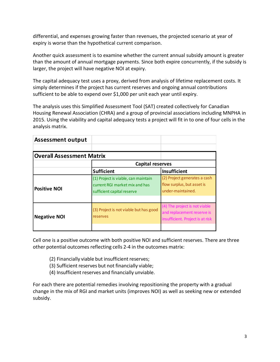differential, and expenses growing faster than revenues, the projected scenario at year of expiry is worse than the hypothetical current comparison.

Another quick assessment is to examine whether the current annual subsidy amount is greater than the amount of annual mortgage payments. Since both expire concurrently, if the subsidy is larger, the project will have negative NOI at expiry.

The capital adequacy test uses a proxy, derived from analysis of lifetime replacement costs. It simply determines if the project has current reserves and ongoing annual contributions sufficient to be able to expend over \$1,000 per unit each year until expiry.

The analysis uses this Simplified Assessment Tool (SAT) created collectively for Canadian Housing Renewal Association (CHRA) and a group of provincial associations including MNPHA in 2015. Using the viability and capital adequacy tests a project will fit in to one of four cells in the analysis matrix.

| <b>Assessment output</b>         |                                                                                                     |                                                                                                 |
|----------------------------------|-----------------------------------------------------------------------------------------------------|-------------------------------------------------------------------------------------------------|
| <b>Overall Assessment Matrix</b> |                                                                                                     |                                                                                                 |
|                                  | <b>Capital reserves</b>                                                                             |                                                                                                 |
|                                  | <b>Sufficient</b>                                                                                   | <b>Insufficient</b>                                                                             |
| <b>Positive NOI</b>              | (1) Project is viable, can maintain<br>current RGI market mix and has<br>sufficient capital reserve | (2) Project generates a cash<br>flow surplus, but asset is<br>under-maintained.                 |
|                                  |                                                                                                     |                                                                                                 |
| <b>Negative NOI</b>              | (3) Project is not viable but has good<br>reserves                                                  | (4) The project is not viable<br>and replacement reserve is<br>insufficient. Project is at risk |
|                                  |                                                                                                     |                                                                                                 |

Cell one is a positive outcome with both positive NOI and sufficient reserves. There are three other potential outcomes reflecting cells 2-4 in the outcomes matrix:

(2) Financially viable but insufficient reserves;

- (3) Sufficient reserves but not financially viable;
- (4) Insufficient reserves and financially unviable.

For each there are potential remedies involving repositioning the property with a gradual change in the mix of RGI and market units (improves NOI) as well as seeking new or extended subsidy.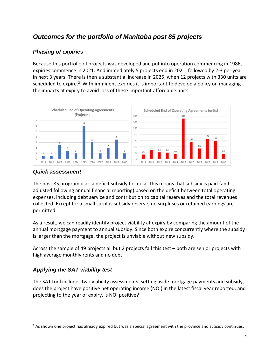# <span id="page-7-0"></span>*Outcomes for the portfolio of Manitoba post 85 projects*

#### <span id="page-7-1"></span>*Phasing of expiries*

Because this portfolio of projects was developed and put into operation commencing in 1986, expiries commence in 2021. And immediately 5 projects end in 2021, followed by 2-3 per year in next 3 years. There is then a substantial increase in 2025, when 12 projects with 330 units are scheduled to expire.<sup>2</sup> With imminent expiries it is important to develop a policy on managing the impacts at expiry to avoid loss of these important affordable units.



#### <span id="page-7-2"></span>*Quick assessment*

The post 85 program uses a deficit subsidy formula. This means that subsidy is paid (and adjusted following annual financial reporting) based on the deficit between total operating expenses, including debt service and contribution to capital reserves and the total revenues collected. Except for a small surplus subsidy reserve, no surpluses or retained earnings are permitted.

As a result, we can readily identify project viability at expiry by comparing the amount of the annual mortgage payment to annual subsidy. Since both expire concurrently where the subsidy is larger than the mortgage, the project is unviable without new subsidy.

Across the sample of 49 projects all but 2 projects fail this test – both are senior projects with high average monthly rents and no debt.

## <span id="page-7-3"></span>*Applying the SAT viability test*

The SAT tool includes two viability assessments: setting aside mortgage payments and subsidy, does the project have positive net operating income (NOI) in the latest fiscal year reported; and projecting to the year of expiry, is NOI positive?

<sup>&</sup>lt;sup>2</sup> As shown one project has already expired but was a special agreement with the province and subsidy continues.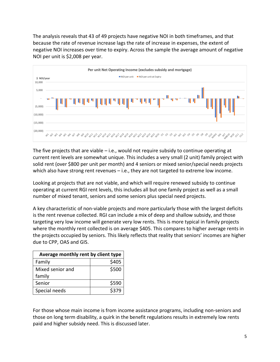The analysis reveals that 43 of 49 projects have negative NOI in both timeframes, and that because the rate of revenue increase lags the rate of increase in expenses, the extent of negative NOI increases over time to expiry. Across the sample the average amount of negative NOI per unit is \$2,008 per year.



The five projects that are viable  $-$  i.e., would not require subsidy to continue operating at current rent levels are somewhat unique. This includes a very small (2 unit) family project with solid rent (over \$800 per unit per month) and 4 seniors or mixed senior/special needs projects which also have strong rent revenues - i.e., they are not targeted to extreme low income.

Looking at projects that are not viable, and which will require renewed subsidy to continue operating at current RGI rent levels, this includes all but one family project as well as a small number of mixed tenant, seniors and some seniors plus special need projects.

A key characteristic of non-viable projects and more particularly those with the largest deficits is the rent revenue collected. RGI can include a mix of deep and shallow subsidy, and those targeting very low income will generate very low rents. This is more typical in family projects where the monthly rent collected is on average \$405. This compares to higher average rents in the projects occupied by seniors. This likely reflects that reality that seniors' incomes are higher due to CPP, OAS and GIS.

| Average monthly rent by client type |       |  |
|-------------------------------------|-------|--|
| Family                              | \$405 |  |
| Mixed senior and                    | \$500 |  |
| family                              |       |  |
| Senior                              | \$590 |  |
| Special needs                       | \$379 |  |

For those whose main income is from income assistance programs, including non-seniors and those on long term disability, a quirk in the benefit regulations results in extremely low rents paid and higher subsidy need. This is discussed later.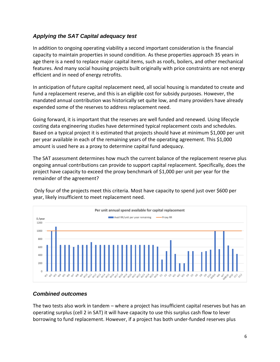#### <span id="page-9-0"></span>*Applying the SAT Capital adequacy test*

In addition to ongoing operating viability a second important consideration is the financial capacity to maintain properties in sound condition. As these properties approach 35 years in age there is a need to replace major capital items, such as roofs, boilers, and other mechanical features. And many social housing projects built originally with price constraints are not energy efficient and in need of energy retrofits.

In anticipation of future capital replacement need, all social housing is mandated to create and fund a replacement reserve, and this is an eligible cost for subsidy purposes. However, the mandated annual contribution was historically set quite low, and many providers have already expended some of the reserves to address replacement need.

Going forward, it is important that the reserves are well funded and renewed. Using lifecycle costing data engineering studies have determined typical replacement costs and schedules. Based on a typical project it is estimated that projects should have at minimum \$1,000 per unit per year available in each of the remaining years of the operating agreement. This \$1,000 amount is used here as a proxy to determine capital fund adequacy.

The SAT assessment determines how much the current balance of the replacement reserve plus ongoing annual contributions can provide to support capital replacement. Specifically, does the project have capacity to exceed the proxy benchmark of \$1,000 per unit per year for the remainder of the agreement?





#### <span id="page-9-1"></span>*Combined outcomes*

The two tests also work in tandem – where a project has insufficient capital reserves but has an operating surplus (cell 2 in SAT) it will have capacity to use this surplus cash flow to lever borrowing to fund replacement. However, if a project has both under-funded reserves plus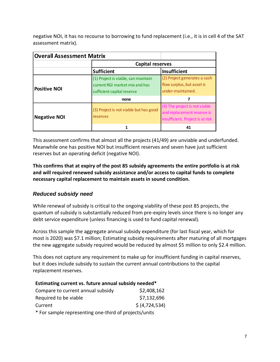negative NOI, it has no recourse to borrowing to fund replacement (i.e., it is in cell 4 of the SAT assessment matrix).

| <b>Overall Assessment Matrix</b> |                                                                                                     |                                                                                                 |  |
|----------------------------------|-----------------------------------------------------------------------------------------------------|-------------------------------------------------------------------------------------------------|--|
|                                  | Capital reserves                                                                                    |                                                                                                 |  |
|                                  | <b>Sufficient</b>                                                                                   | <b>Insufficient</b>                                                                             |  |
| <b>Positive NOI</b>              | (1) Project is viable, can maintain<br>current RGI market mix and has<br>sufficient capital reserve | (2) Project generates a cash<br>flow surplus, but asset is<br>under-maintained.                 |  |
|                                  | none                                                                                                |                                                                                                 |  |
| <b>Negative NOI</b>              | (3) Project is not viable but has good<br>reserves                                                  | (4) The project is not viable<br>and replacement reserve is<br>insufficient. Project is at risk |  |
|                                  |                                                                                                     | 41                                                                                              |  |

This assessment confirms that almost all the projects (41/49) are unviable and underfunded. Meanwhile one has positive NOI but insufficient reserves and seven have just sufficient reserves but an operating deficit (negative NOI).

#### **This confirms that at expiry of the post 85 subsidy agreements the entire portfolio is at risk and will required renewed subsidy assistance and/or access to capital funds to complete necessary capital replacement to maintain assets in sound condition.**

### <span id="page-10-0"></span>*Reduced subsidy need*

While renewal of subsidy is critical to the ongoing viability of these post 85 projects, the quantum of subsidy is substantially reduced from pre-expiry levels since there is no longer any debt service expenditure (unless financing is used to fund capital renewal).

Across this sample the aggregate annual subsidy expenditure (for last fiscal year, which for most is 2020) was \$7.1 million; Estimating subsidy requirements after maturing of all mortgages the new aggregate subsidy required would be reduced by almost \$5 million to only \$2.4 million.

This does not capture any requirement to make up for insufficient funding in capital reserves, but it does include subsidy to sustain the current annual contributions to the capital replacement reserves.

#### **Estimating current vs. future annual subsidy needed\***

| Compare to current annual subsidy | \$2,408,162      |
|-----------------------------------|------------------|
| Required to be viable             | \$7,132,696      |
| Current                           | \$ (4, 724, 534) |
|                                   |                  |

\* For sample representing one-third of projects/units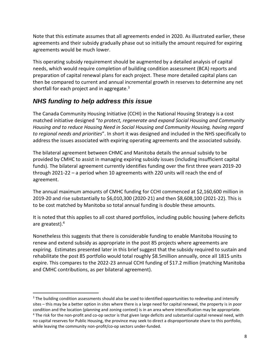Note that this estimate assumes that all agreements ended in 2020. As illustrated earlier, these agreements and their subsidy gradually phase out so initially the amount required for expiring agreements would be much lower.

This operating subsidy requirement should be augmented by a detailed analysis of capital needs, which would require completion of building condition assessment (BCA) reports and preparation of capital renewal plans for each project. These more detailed capital plans can then be compared to current and annual incremental growth in reserves to determine any net shortfall for each project and in aggregate. $3$ 

# <span id="page-11-0"></span>*NHS funding to help address this issue*

The Canada Community Housing Initiative (CCHI) in the National Housing Strategy is a cost matched initiative designed "*to protect, regenerate and expand Social Housing and Community Housing and to reduce Housing Need in Social Housing and Community Housing, having regard to regional needs and priorities*". In short it was designed and included in the NHS specifically to address the issues associated with expiring operating agreements and the associated subsidy.

The bilateral agreement between CHMC and Manitoba details the annual subsidy to be provided by CMHC to assist in managing expiring subsidy issues (including insufficient capital funds). The bilateral agreement currently identifies funding over the first three years 2019-20 through 2021-22 – a period when 10 agreements with 220 units will reach the end of agreement.

The annual maximum amounts of CMHC funding for CCHI commenced at \$2,160,600 million in 2019-20 and rise substantially to \$6,010,300 (2020-21) and then \$8,608,100 (2021-22). This is to be cost matched by Manitoba so total annual funding is double these amounts.

It is noted that this applies to all cost shared portfolios, including public housing (where deficits are greatest).<sup>4</sup>

Nonetheless this suggests that there is considerable funding to enable Manitoba Housing to renew and extend subsidy as appropriate in the post 85 projects where agreements are expiring. Estimates presented later in this brief suggest that the subsidy required to sustain and rehabilitate the post 85 portfolio would total roughly \$8.5million annually, once all 1815 units expire. This compares to the 2022-23 annual CCHI funding of \$17.2 million (matching Manitoba and CMHC contributions, as per bilateral agreement).

<sup>&</sup>lt;sup>3</sup> The building condition assessments should also be used to identified opportunities to redevelop and intensify sites – this may be a better option in sites where there is a large need for capital renewal, the property is in poor condition and the location (planning and zoning context) is in an area where intensification may be appropriate. <sup>4</sup> The risk for the non-profit and co-op sector is that given large deficits and substantial capital renewal need, with no capital reserves for Public Housing, the province may seek to direct a disproportionate share to this portfolio, while leaving the community non-profit/co-op sectors under-funded.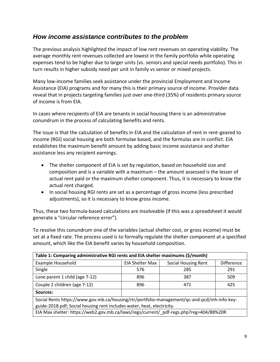## <span id="page-12-0"></span>*How income assistance contributes to the problem*

The previous analysis highlighted the impact of low rent revenues on operating viability. The average monthly rent revenues collected are lowest in the family portfolio while operating expenses tend to be higher due to larger units (vs. seniors and special needs portfolio). This in turn results in higher subsidy need per unit in family vs senior or mixed projects.

Many low-income families seek assistance under the provincial Employment and Income Assistance (EIA) programs and for many this is their primary source of income. Provider data reveal that in projects targeting families just over one-third (35%) of residents primary source of income is from EIA.

In cases where recipients of EIA are tenants in social housing there is an administrative conundrum in the process of calculating benefits and rents.

The issue is that the calculation of benefits in EIA and the calculation of rent in rent-geared to income (RGI) social housing are both formulae based, and the formulas are in conflict. EIA establishes the maximum benefit amount by adding basic income assistance and shelter assistance less any recipient earnings.

- The shelter component of EIA is set by regulation, based on household size and composition and is a variable with a maximum – the amount assessed is the lesser of actual rent paid or the maximum shelter component. Thus, it is necessary to know the actual rent charged.
- In social housing RGI rents are set as a percentage of gross income (less prescribed adjustments), so it is necessary to know gross income.

Thus, these two formula-based calculations are insolveable (if this was a spreadsheet it would generate a "circular reference error").

To resolve this conundrum one of the variables (actual shelter cost, or gross income) must be set at a fixed rate. The process used is to formally regulate the shelter component at a specified amount, which like the EIA benefit varies by household composition.

| Table 1: Comparing administrative RGI rents and EIA shelter maximums (\$/month)             |                 |                            |                   |  |  |
|---------------------------------------------------------------------------------------------|-----------------|----------------------------|-------------------|--|--|
| Example Household                                                                           | EIA Shelter Max | <b>Social Housing Rent</b> | <b>Difference</b> |  |  |
| Single                                                                                      | 576             | 285                        | 291               |  |  |
| Lone parent 1 child (age 7-12)                                                              | 896             | 387                        | 509               |  |  |
| Couple 2 children (age 7-12)                                                                | 896             | 471                        | 425               |  |  |
| Sources:                                                                                    |                 |                            |                   |  |  |
| Social Rents https://www.gov.mb.ca/housing/rtr/portfolio-management/qc-and-pcd/mh-info-key- |                 |                            |                   |  |  |
| guide-2018.pdf; Social housing rent includes water, heat, electricity.                      |                 |                            |                   |  |  |
| EIA Max shelter: https://web2.gov.mb.ca/laws/regs/current/_pdf-regs.php?reg=404/88%20R      |                 |                            |                   |  |  |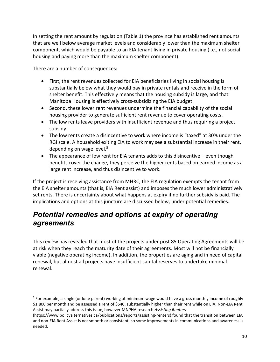In setting the rent amount by regulation (Table 1) the province has established rent amounts that are well below average market levels and considerably lower than the maximum shelter component, which would be payable to an EIA tenant living in private housing (i.e., not social housing and paying more than the maximum shelter component).

There are a number of consequences:

- First, the rent revenues collected for EIA beneficiaries living in social housing is substantially below what they would pay in private rentals and receive in the form of shelter benefit. This effectively means that the housing subsidy is large, and that Manitoba Housing is effectively cross-subsidizing the EIA budget.
- Second, these lower rent revenues undermine the financial capability of the social housing provider to generate sufficient rent revenue to cover operating costs.
- The low rents leave providers with insufficient revenue and thus requiring a project subsidy.
- The low rents create a disincentive to work where income is "taxed" at 30% under the RGI scale. A household exiting EIA to work may see a substantial increase in their rent, depending on wage level.<sup>5</sup>
- The appearance of low rent for EIA tenants adds to this disincentive even though benefits cover the change, they perceive the higher rents based on earned income as a large rent increase, and thus disincentive to work.

If the project is receiving assistance from MHRC, the EIA regulation exempts the tenant from the EIA shelter amounts (that is, EIA Rent assist) and imposes the much lower administratively set rents. There is uncertainty about what happens at expiry if no further subsidy is paid. The implications and options at this juncture are discussed below, under potential remedies.

# <span id="page-13-0"></span>*Potential remedies and options at expiry of operating agreements*

This review has revealed that most of the projects under post 85 Operating Agreements will be at risk when they reach the maturity date of their agreements. Most will not be financially viable (negative operating income). In addition, the properties are aging and in need of capital renewal, but almost all projects have insufficient capital reserves to undertake minimal renewal.

<sup>&</sup>lt;sup>5</sup> For example, a single (or lone parent) working at minimum wage would have a gross monthly income of roughly \$1,800 per month and be assessed a rent of \$540, substantially higher than their rent while on EIA. Non-EIA Rent Assist may partially address this issue, however MNPHA research *Assisting Renters* 

<sup>(</sup>https://www.policyalternatives.ca/publications/reports/assisting-renters) found that the transition between EIA and non-EIA Rent Assist is not smooth or consistent, so some improvements in communications and awareness is needed.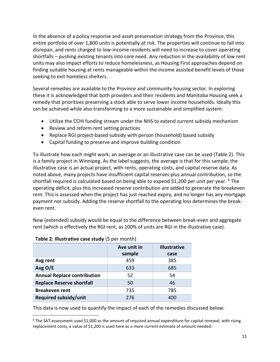In the absence of a policy response and asset preservation strategy from the Province, this entire portfolio of over 1,800 units is potentially at risk. The properties will continue to fall into disrepair, and rents charged to low-income residents will need to increase to cover operating shortfalls – pushing existing tenants into core need. Any reduction in the availability of low rent units may also impact efforts to reduce homelessness, as Housing First approaches depend on finding suitable housing at rents manageable within the income assisted benefit levels of those seeking to exit homeless shelters.

Several remedies are available to the Province and community housing sector. In exploring these it is acknowledged that both providers and their residents and Manitoba Housing seek a remedy that prioritizes preserving a stock able to serve lower income households. Ideally this can be achieved while also transforming to a more sustainable and simplified system:

- Utilize the CCHI funding stream under the NHS to extend current subsidy mechanism
- Review and reform rent setting practices
- Replace RGI project-based subsidy with person (household) based subsidy
- Capital funding to preserve and improve building condition

To illustrate how each might work, an average or an illustrative case can be used (Table 2). This is a family project in Winnipeg. As the label suggests, the average is that for this sample; the illustrative case is an actual project, with rents, operating costs, and capital reserve data. As noted above, many projects have insufficient capital reserves plus annual contribution, so the shortfall required is calculated based on being able to expend \$1,200 per unit per year. <sup>6</sup> The operating deficit, plus this increased reserve contribution are added to generate the breakeven rent. This is assessed when the project has just reached expiry, and no longer has any mortgage payment nor subsidy. Adding the reserve shortfall to the operating loss determines the breakeven rent.

New (extended) subsidy would be equal to the difference between break-even and aggregate rent (which is effectively the RGI rent, as 100% of units are RGI in the illustrative case).

|                                    | Ave unit in<br>sample | <b>Illustrative</b><br>case |
|------------------------------------|-----------------------|-----------------------------|
| Avg rent                           | 459                   | 385                         |
| Avg $O/E$                          | 633                   | 685                         |
| <b>Annual Replace contribution</b> | 52                    | 54                          |
| <b>Replace Reserve shortfall</b>   | 50                    | 46                          |
| <b>Breakeven rent</b>              | 735                   | 785                         |
| <b>Required subsidy/unit</b>       | 276                   | 400                         |

#### **Table 2: Illustrative case study** (\$ per month)

This data is now used to quantify the impact of each of the remedies discussed below.

 $6$  The SAT assessment used \$1,000 as the amount of required annual expenditure for capital renewal; with rising replacement costs, a value of \$1,200 is used here as a more current estimate of amount needed.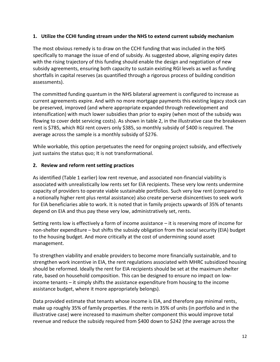#### <span id="page-15-0"></span>**1. Utilize the CCHI funding stream under the NHS to extend current subsidy mechanism**

The most obvious remedy is to draw on the CCHI funding that was included in the NHS specifically to manage the issue of end of subsidy. As suggested above, aligning expiry dates with the rising trajectory of this funding should enable the design and negotiation of new subsidy agreements, ensuring both capacity to sustain existing RGI levels as well as funding shortfalls in capital reserves (as quantified through a rigorous process of building condition assessments).

The committed funding quantum in the NHS bilateral agreement is configured to increase as current agreements expire. And with no more mortgage payments this existing legacy stock can be preserved, improved (and where appropriate expanded through redevelopment and intensification) with much lower subsidies than prior to expiry (when most of the subsidy was flowing to cover debt servicing costs). As shown in table 2, in the illustrative case the breakeven rent is \$785, which RGI rent covers only \$385, so monthly subsidy of \$400 is required. The average across the sample is a monthly subsidy of \$276.

While workable, this option perpetuates the need for ongoing project subsidy, and effectively just sustains the status quo; It is not transformational.

#### <span id="page-15-1"></span>**2. Review and reform rent setting practices**

As identified (Table 1 earlier) low rent revenue, and associated non-financial viability is associated with unrealistically low rents set for EIA recipients. These very low rents undermine capacity of providers to operate viable sustainable portfolios. Such very low rent (compared to a notionally higher rent plus rental assistance) also create perverse disincentives to seek work for EIA beneficiaries able to work. It is noted that in family projects upwards of 35% of tenants depend on EIA and thus pay these very low, administratively set, rents.

Setting rents low is effectively a form of income assistance – it is reserving more of income for non-shelter expenditure – but shifts the subsidy obligation from the social security (EIA) budget to the housing budget. And more critically at the cost of undermining sound asset management.

To strengthen viability and enable providers to become more financially sustainable, and to strengthen work incentive in EIA, the rent regulations associated with MHRC subsidized housing should be reformed. Ideally the rent for EIA recipients should be set at the maximum shelter rate, based on household composition. This can be designed to ensure no impact on lowincome tenants – it simply shifts the assistance expenditure from housing to the income assistance budget, where it more appropriately belongs).

Data provided estimate that tenants whose income is EIA, and therefore pay minimal rents, make up roughly 35% of family properties. If the rents in 35% of units (in portfolio and in the illustrative case) were increased to maximum shelter component this would improve total revenue and reduce the subsidy required from \$400 down to \$242 (the average across the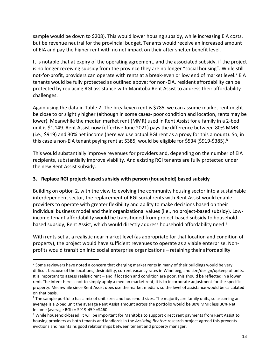sample would be down to \$208). This would lower housing subsidy, while increasing EIA costs, but be revenue neutral for the provincial budget. Tenants would receive an increased amount of EIA and pay the higher rent with no net impact on their after shelter benefit level.

It is notable that at expiry of the operating agreement, and the associated subsidy, if the project is no longer receiving subsidy from the province they are no longer "social housing". While still not-for-profit, providers can operate with rents at a break-even or low end of market level.<sup>7</sup> EIA tenants would be fully protected as outlined above; for non-EIA, resident affordability can be protected by replacing RGI assistance with Manitoba Rent Assist to address their affordability challenges.

Again using the data in Table 2: The breakeven rent is \$785, we can assume market rent might be close to or slightly higher (although in some cases- poor condition and location, rents may be lower). Meanwhile the median market rent (MMR) used in Rent Assist for a family in a 2-bed unit is \$1,149. Rent Assist now (effective June 2021) pays the difference between 80% MMR (i.e., \$919) and 30% net income (here we use actual RGI rent as a proxy for this amount). So, in this case a non-EIA tenant paying rent at \$385, would be eligible for \$534 (\$919-\$385).<sup>8</sup>

This would substantially improve revenues for providers and, depending on the number of EIA recipients, substantially improve viability. And existing RGI tenants are fully protected under the new Rent Assist subsidy.

#### <span id="page-16-0"></span>**3. Replace RGI project-based subsidy with person (household) based subsidy**

Building on option 2, with the view to evolving the community housing sector into a sustainable interdependent sector, the replacement of RGI social rents with Rent Assist would enable providers to operate with greater flexibility and ability to make decisions based on their individual business model and their organizational values (i.e., no project-based subsidy). Lowincome tenant affordability would be transitioned from project-based subsidy to householdbased subsidy, Rent Assist, which would directly address household affordability need.<sup>9</sup>

With rents set at a realistic near market level (as appropriate for that location and condition of property), the project would have sufficient revenues to operate as a viable enterprise. Nonprofits would transition into social enterprise organizations – retaining their affordability

 $7$  Some reviewers have noted a concern that charging market rents in many of their buildings would be very difficult because of the locations, desirability, current vacancy rates in Winnipeg, and size/design/upkeep of units. It is important to assess realistic rent – and if location and condition are poor, this should be reflected in a lower rent. The intent here is not to simply apply a median market rent; it is to incorporate adjustment for the specific property. Meanwhile since Rent Assist does use the market median, so the level of assistance would be calculated on that basis.

<sup>&</sup>lt;sup>8</sup> The sample portfolio has a mix of unit sizes and household sizes. The majority are family units, so assuming an average is a 2-bed unit the average Rent Assist amount across the portfolio would be 80% MMR less 30% Net Income (average RGI) = \$919-459 =\$460.

<sup>&</sup>lt;sup>9</sup> While household-based, it will be important for Manitoba to support direct rent payments from Rent Assist to housing providers as both tenants and landlords in the *Assisting Renters* research project agreed this prevents evictions and maintains good relationships between tenant and property manager.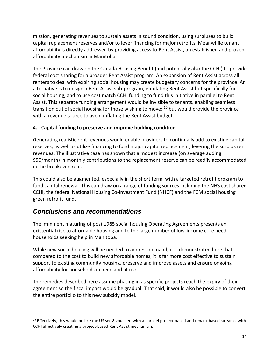mission, generating revenues to sustain assets in sound condition, using surpluses to build capital replacement reserves and/or to lever financing for major retrofits. Meanwhile tenant affordability is directly addressed by providing access to Rent Assist, an established and proven affordability mechanism in Manitoba.

The Province can draw on the Canada Housing Benefit (and potentially also the CCHI) to provide federal cost sharing for a broader Rent Assist program. An expansion of Rent Assist across all renters to deal with expiring social housing may create budgetary concerns for the province. An alternative is to design a Rent Assist sub-program, emulating Rent Assist but specifically for social housing, and to use cost match CCHI funding to fund this initiative in parallel to Rent Assist. This separate funding arrangement would be invisible to tenants, enabling seamless transition out of social housing for those wishing to move;  $10$  but would provide the province with a revenue source to avoid inflating the Rent Assist budget.

#### <span id="page-17-0"></span>**4. Capital funding to preserve and improve building condition**

Generating realistic rent revenues would enable providers to continually add to existing capital reserves, as well as utilize financing to fund major capital replacement, levering the surplus rent revenues. The illustrative case has shown that a modest increase (on average adding \$50/month) in monthly contributions to the replacement reserve can be readily accommodated in the breakeven rent.

This could also be augmented, especially in the short term, with a targeted retrofit program to fund capital renewal. This can draw on a range of funding sources including the NHS cost shared CCHI, the federal National Housing Co-investment Fund (NHCF) and the FCM social housing green retrofit fund.

## <span id="page-17-1"></span>*Conclusions and recommendations*

The imminent maturing of post 1985 social housing Operating Agreements presents an existential risk to affordable housing and to the large number of low-income core need households seeking help in Manitoba.

While new social housing will be needed to address demand, it is demonstrated here that compared to the cost to build new affordable homes, it is far more cost effective to sustain support to existing community housing, preserve and improve assets and ensure ongoing affordability for households in need and at risk.

The remedies described here assume phasing in as specific projects reach the expiry of their agreement so the fiscal impact would be gradual. That said, it would also be possible to convert the entire portfolio to this new subsidy model.

 $10$  Effectively, this would be like the US sec 8 voucher, with a parallel project-based and tenant-based streams, with CCHI effectively creating a project-based Rent Assist mechanism.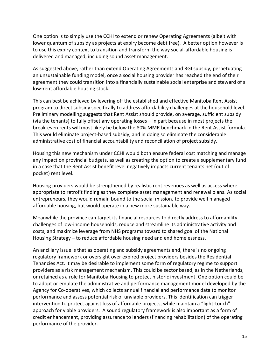One option is to simply use the CCHI to extend or renew Operating Agreements (albeit with lower quantum of subsidy as projects at expiry become debt free). A better option however is to use this expiry context to transition and transform the way social-affordable housing is delivered and managed, including sound asset management.

As suggested above, rather than extend Operating Agreements and RGI subsidy, perpetuating an unsustainable funding model, once a social housing provider has reached the end of their agreement they could transition into a financially sustainable social enterprise and steward of a low-rent affordable housing stock.

This can best be achieved by levering off the established and effective Manitoba Rent Assist program to direct subsidy specifically to address affordability challenges at the household level. Preliminary modelling suggests that Rent Assist should provide, on average, sufficient subsidy (via the tenants) to fully offset any operating losses – in part because in most projects the break-even rents will most likely be below the 80% MMR benchmark in the Rent Assist formula. This would eliminate project-based subsidy, and in doing so eliminate the considerable administrative cost of financial accountability and reconciliation of project subsidy.

Housing this new mechanism under CCHI would both ensure federal cost matching and manage any impact on provincial budgets, as well as creating the option to create a supplementary fund in a case that the Rent Assist benefit level negatively impacts current tenants net (out of pocket) rent level.

Housing providers would be strengthened by realistic rent revenues as well as access where appropriate to retrofit finding as they complete asset management and renewal plans. As social entrepreneurs, they would remain bound to the social mission, to provide well managed affordable housing, but would operate in a new more sustainable way.

Meanwhile the province can target its financial resources to directly address to affordability challenges of low-income households, reduce and streamline its administrative activity and costs, and maximize leverage from NHS programs toward to shared goal of the National Housing Strategy – to reduce affordable housing need and end homelessness.

An ancillary issue is that as operating and subsidy agreements end, there is no ongoing regulatory framework or oversight over expired project providers besides the Residential Tenancies Act. It may be desirable to implement some form of regulatory regime to support providers as a risk management mechanism. This could be sector based, as in the Netherlands, or retained as a role for Manitoba Housing to protect historic investment. One option could be to adopt or emulate the administrative and performance management model developed by the Agency for Co-operatives, which collects annual financial and performance data to monitor performance and assess potential risk of unviable providers. This identification can trigger intervention to protect against loss of affordable projects, while maintain a "light-touch" approach for viable providers. A sound regulatory framework is also important as a form of credit enhancement, providing assurance to lenders (financing rehabilitation) of the operating performance of the provider.